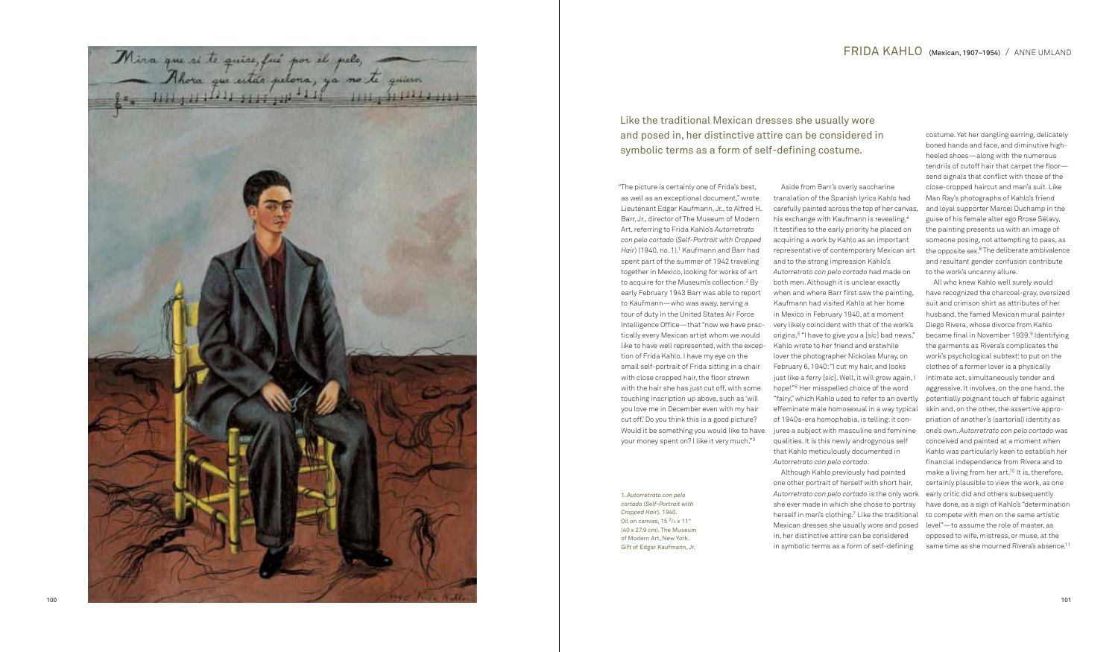100 101

 "The picture is certainly one of Frida's best, as well as an exceptional document," wrote Lieutenant Edgar Kaufmann, Jr., to Alfred H. Barr, Jr., director of The Museum of Modern Art, referring to Frida Kahlo's *Autorretrato con pelo cortado*  (*Self-Portrait with Cropped Hair*) (1940, no. 1). 1 Kaufmann and Barr had spent part of the summer of 1942 traveling together in Mexico, looking for works of art to acquire for the Museum's collection. 2 By early February 1943 Barr was able to report to Kaufmann—who was away, serving a tour of duty in the United States Air Force Intelligence Office—that "now we have practically every Mexican artist whom we would like to have well represented, with the exception of Frida Kahlo. I have my eye on the small self-portrait of Frida sitting in a chair with close cropped hair, the floor strewn with the hair she has just cut off, with some touching inscription up above, such as 'will you love me in December even with my hair cut off.' Do you think this is a good picture? Would it be something you would like to have your money spent on? I like it very much." 3

All who knew Kahlo well surely would have recognized the charcoal-gray, oversized suit and crimson shirt as attributes of her husband, the famed Mexican mural painter Diego Rivera, whose divorce from Kahlo became final in November 1939. 9 Identifying the garments as Rivera's complicates the work's psychological subtext: to put on the clothes of a former lover is a physically intimate act, simultaneously tender and aggressive. It involves, on the one hand, the potentially poignant touch of fabric against skin and, on the other, the assertive appropriation of another's (sartorial) identity as one's own. *Autorretrato con pelo cortado* was conceived and painted at a moment when Kahlo was particularly keen to establish her financial independence from Rivera and to make a living from her art.<sup>10</sup> It is, therefore, certainly plausible to view the work, as one early critic did and others subsequently have done, as a sign of Kahlo's "determination to compete with men on the same artistic level"—to assume the role of master, as opposed to wife, mistress, or muse, at the same time as she mourned Rivera's absence.<sup>11</sup>

Aside from Barr's overly saccharine translation of the Spanish lyrics Kahlo had carefully painted across the top of her canvas, his exchange with Kaufmann is revealing. 4 It testifies to the early priority he placed on acquiring a work by Kahlo as an important representative of contemporary Mexican art and to the strong impression Kahlo's *Autorretrato con pelo cortado* had made on both men. Although it is unclear exactly when and where Barr first saw the painting, Kaufmann had visited Kahlo at her home in Mexico in February 1940, at a moment very likely coincident with that of the work's origins. 5 " I have to give you a [ *sic*] bad news," Kahlo wrote to her friend and erstwhile lover the photographer Nickolas Muray, on February 6, 1940: " I cut my hair, and looks just like a ferry [*sic*]. Well, it will grow again, I hope!" 6 Her misspelled choice of the word "fairy," which Kahlo used to refer to an overtly effeminate male homosexual in a way typical of 1940s-era homophobia, is telling: it conjures a subject with masculine and feminine qualities. It is this newly androgynous self that Kahlo meticulously documented in *Autorretrato con pelo cortado*. Although Kahlo previously had painted

one other portrait of herself with short hair, *Autorretrato con pelo cortado* is the only work she ever made in which she chose to portray herself in men's clothing. 7 Like the traditional Mexican dresses she usually wore and posed in, her distinctive attire can be considered in symbolic terms as a form of self-defining

costume. Yet her dangling earring, delicately boned hands and face, and diminutive highheeled shoes—along with the numerous tendrils of cutoff hair that carpet the floor send signals that conflict with those of the close-cropped haircut and man's suit. Like Man Ray's photographs of Kahlo's friend and loyal supporter Marcel Duchamp in the guise of his female alter ego Rrose Sélavy, the painting presents us with an image of someone posing, not attempting to pass, as the opposite sex. 8 The deliberate ambivalence and resultant gender confusion contribute to the work's uncanny allure.

Like the traditional Mexican dresses she usually wore and posed in, her distinctive attire can be considered in symbolic terms as a form of self-defining costume.

1. *Autorretrato con pelo cortado*  (*Self-Portrait with Cropped Hair* ) *.* 1940. Oil on canvas,  $15<sup>3</sup>/4 \times 11"$ (40 x 27.9 cm). The Museum of Modern Art, New York. Gift of Edgar Kaufmann, Jr.